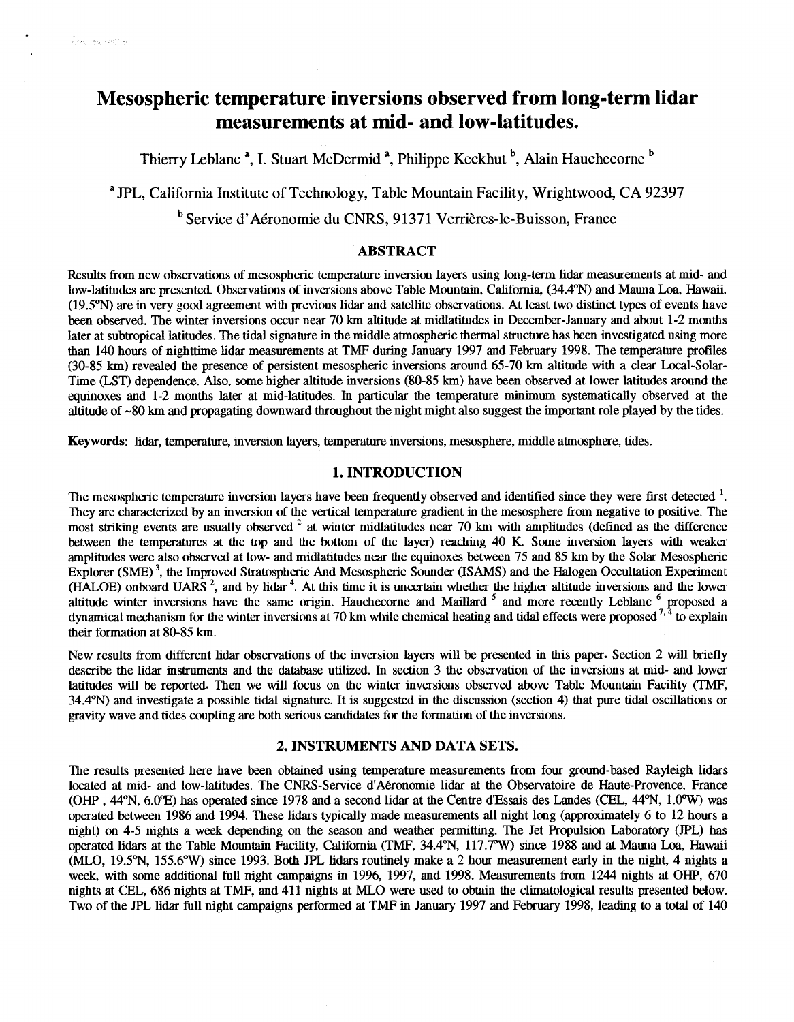# **Mesospheric temperature inversions observed from long-term lidar measurements at mid- and low-latitudes.**

Thierry Leblanc<sup>a</sup>, I. Stuart McDermid<sup>a</sup>, Philippe Keckhut <sup>b</sup>, Alain Hauchecorne<sup>b</sup>

**a JPL,** California Institute of Technology, Table Mountain Facility, Wrightwood, CA 92397

<sup>b</sup> Service d'Aéronomie du CNRS, 91371 Verrières-le-Buisson, France

# **ABSTRACT**

Results from new observations of mesospheric temperature inversion layers using long-term lidar measurements at mid- and low-latitudes are presented. Observations of inversions above Table Mountain, California, (34.4°N) and Mauna Loa, Hawaii, (19.5%) are in very good agreement with previous lidar and satellite observations. At least two distinct types of events have been observed. The winter inversions occur near 70 **km** altitude at midlatitudes in December-January and about 1-2 months later at subtropical latitudes. The tidal signature in the middle atmospheric thermal structure has been investigated using more than 140 hours of nighttime lidar measurements at **TMF** during January 1997 and February 1998. The temperature profiles (30-85 km) revealed the presence of persistent mesospheric inversions around 65-70 km altitude with a clear Local-Solar-Time (LST) dependence. Also, some higher altitude inversions (80-85 **km)** have been observed at lower latitudes around the equinoxes and 1-2 months later at mid-latitudes. In particular the temperature minimum systematically observed at the altitude of -80 **km** and propagating downward throughout the night might also suggest the important role played by the tides.

**Keywords:** lidar, temperature, inversion layers, temperature inversions, mesosphere, middle atmosphere, tides.

# **1. INTRODUCTION**

The mesospheric temperature inversion layers have been frequently observed and identified since they were first detected <sup>1</sup>. They are characterized by an inversion of the vertical temperature gradient in the mesosphere from negative to positive. The most striking events are usually observed <sup>2</sup> at winter midlatitudes near 70 km with amplitudes (defined as the difference between the temperatures at the top and the bottom of the layer) reaching 40 K. Some inversion layers with weaker amplitudes were also observed at low- and midlatitudes near the equinoxes between 75 and 85 **km** by the Solar Mesospheric Explorer **(SME)** ', the Improved Stratospheric And Mesospheric Sounder **(ISMS)** and the Halogen Occultation Experiment (HALOE) onboard **UARS** ', and by lidar '. At this time it is uncertain whether the higher altitude inversions and the lower (HALOE) onboard OARS, and by hoar. At this time it is three tant whether the higher and the hydrstons and the lower<br>altitude winter inversions have the same origin. Hauchecorne and Maillard  $^5$  and more recently Leblanc their formation at 80-85 km.

New results from different lidar observations of the inversion layers will be presented in this paper. Section 2 will briefly describe the lidar instruments and the database utilized. In section 3 the observation of the inversions at mid- and lower latitudes will be reported. Then we will focus on the winter inversions observed above Table Mountain Facility (TMF, 34.479 and investigate a possible tidal signature. It is suggested in the discussion (section 4) that pure tidal oscillations *or*  gravity wave and tides coupling are both serious candidates for the formation of the inversions.

# **2. INSTRUMENTS AND DATA SETS.**

The results presented here have **been** obtained using temperature measurements from four ground-based Rayleigh lidars located at mid- and low-latitudes. The CNRS-Service d'Aéronomie lidar at the Observatoire de Haute-Provence, France *(Om* **,44W,** 6.o"E) has operated since 1978 and a second lidar at the Centre d'Essais des Landes (CEL, **44"N,** 1.o"w) was operated between 1986 and 1994. These lidars typically made measurements all night long (approximately 6 to 12 hours a night) on 4-5 nights a week depending **on** the season and weather permitting. The Jet Propulsion Laboratory *(JPL)* has operated lidars at the Table Mountain Facility, California (TMF, 34.4°N, 117.7°W) since 1988 and at Mauna Loa, Hawaii  $MLO$ , 19.5 $N$ , 155.6 $W$ ) since 1993. Both JPL lidars routinely make a 2 hour measurement early in the night, 4 nights a week, with some additional full night campaigns in 1996, 1997, and 1998. Measurements from 1244 nights at OHP, 670 nights at CEL, 686 nights at **TMF,** and 411 nights at MLO were used to obtain the climatological results presented below. Two of the JPL lidar full night campaigns performed at **TMF** in January 1997 and February 1998, leading to a total of 140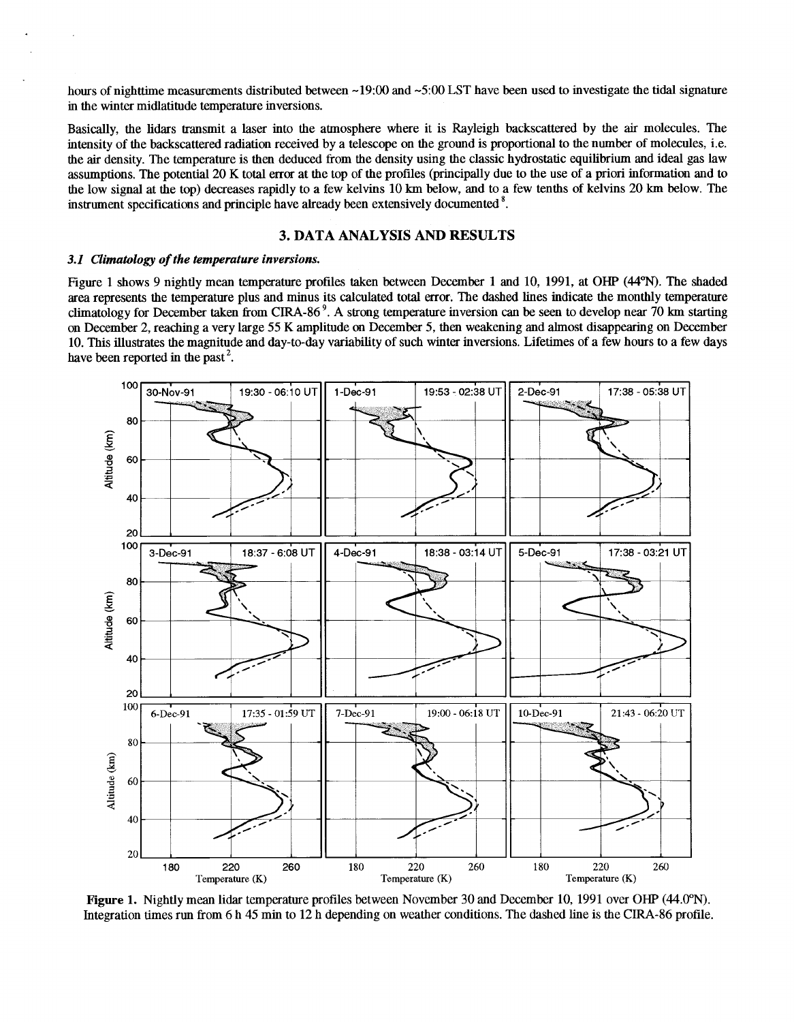<span id="page-1-0"></span>hours of nighttime measurements distributed between ~19:00 and ~5:00 LST have been used to investigate the tidal signature in the winter midlatitude temperature inversions.

Basically, the lidars transmit a laser into the atmosphere where it is Rayleigh backscattered by the air molecules. The intensity of the backscattered radiation received by a telescope on the ground is proportional to the number of molecules, i.e. the air density. The temperature is then deduced from the density using the classic hydrostatic equilibrium and ideal gas law assumptions. The potential 20 K total error at the top of the profiles (principally due to the use of **a** priori information and to the low signal at the top) decreases rapidly to a few kelvins 10 km below, and to a few tenths of kelvins 20 km below. The instrument specifications and principle have already been extensively documented '.

# **3. DATA ANALYSIS AND RESULTS**

#### *3.1 Climatology of the temperature inversions.*

Figure 1 shows 9 nightly mean temperature profiles taken between December 1 and 10, 1991, at OHP (44<sup>o</sup>N). The shaded area represents the temperature plus and minus its calculated total error. The dashed lines indicate the monthly temperature climatology for December taken from CIRA-86 '. **A** strong temperature inversion *can* be seen to develop near 70 km starting on December 2, reaching a very large 55 K amplitude *on* December 5, then weakening and almost disappearing on December 10. This illustrates the magnitude and day-to-day variability of such winter inversions. Lifetimes of a few hours to a few days have been reported in the past<sup>2</sup>.



**Figure 1.** Nightly mean lidar temperature profiles between November **30** and December 10,1991 over *OHP* (44.0°N). Integration times run from 6 h **45** min to 12 h depending on weather conditions. The dashed line is the CIRA-86 profile.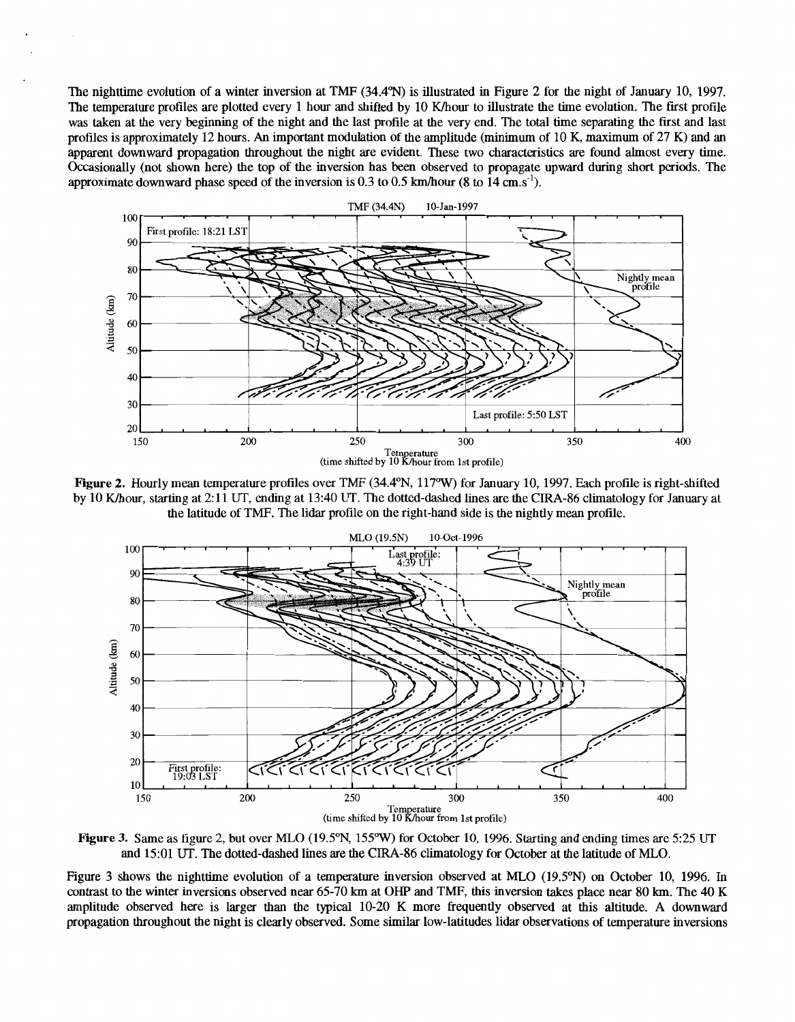The nighttime evolution of a winter inversion at TMF (34.4°N) is illustrated in Figure 2 for the night of January 10, 1997. The temperature profiles are plotted every 1 hour and shifted by 10 K/hour to illustrate the time evolution. The first profile was taken at the very beginning of the night and the last profile at the very end. The total time separating the first and last profiles is approximately 12 hours. An important modulation of the amplitude (minimum of 10 K, maximum of 27 K) and an apparent downward propagation throughout the night are evident. These two characteristics are found almost every time. Occasionally (not shown here) the top of the inversion has been observed to propagate upward during short periods. The approximate downward phase speed of the inversion is 0.3 to 0.5 km/hour (8 to 14 cm.s<sup>-1</sup>).



Figure 2. Hourly mean temperature profiles over TMF (34.4°N, 117°W) for January 10, 1997. Each profile is right-shifted by 10 K/hour, starting at 2:11 UT, ending at 13:40 UT. The dotted-dashed lines are the CIRA-86 climatology for January at the latitude of TMF. The lidar profile on the right-hand side is the nightly mean profile.



Figure 3. Same as figure 2, but over MLO (19.5°N, 155°W) for October 10, 1996. Starting and ending times are 5:25 UT and **15:01** UT. The dotted-dashed lines are the **CIRA-86** climatology for October at the latitude **of** MLO.

Figure **3** shows the nighttime evolution **of** a temperature inversion observed at MLO **(19.5"N)** on October 10, **1996.** In contrast to the winter inversions observed near 65-70 km at OHP and TMF, this inversion takes place near 80 km. The 40 K amplitude observed here is larger than the typical **10-20** K more frequently observed at this altitude. **A** downward propagation throughout the night is clearly observed. Some similar low-latitudes lidar observations **of** temperature inversions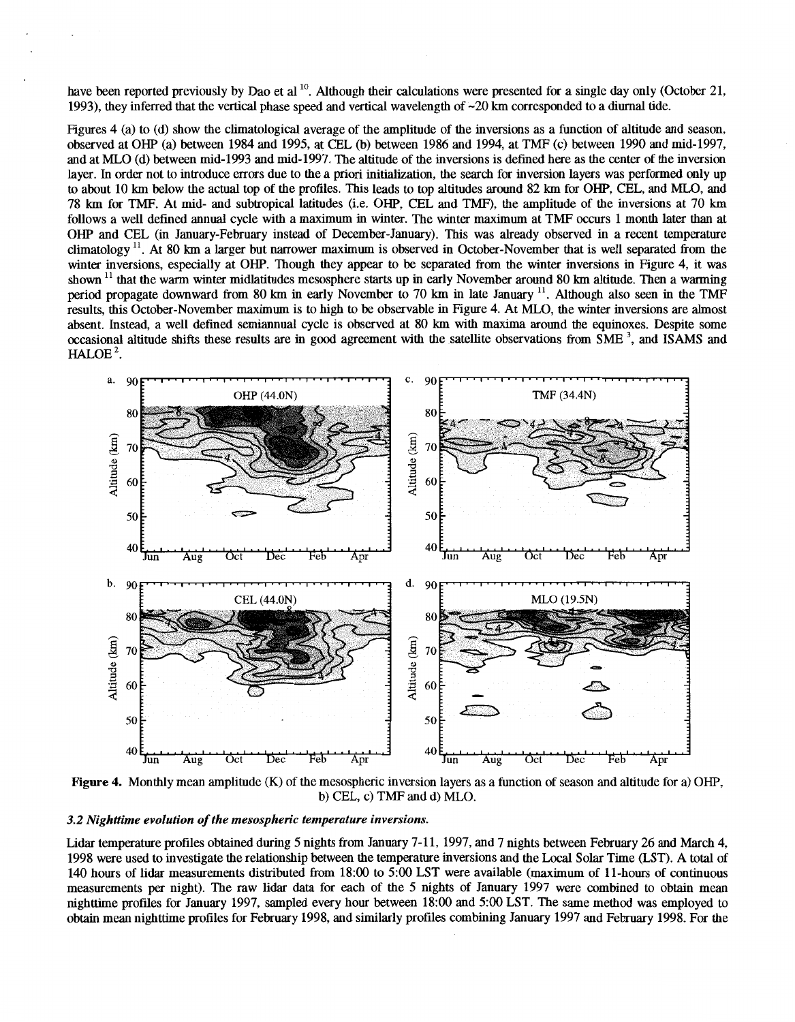have been reported previously by Dao et al  $^{10}$ . Although their calculations were presented for a single day only (October 21, 1993), they inferred that the vertical phase speed and vertical wavelength of -20 **km** corresponded to a diurnal tide.

Figures 4 (a) to (d) show the climatological average of the amplitude of the inversions as a function of altitude and season, observed at *OHP* (a) between 1984 and 1995, at CEL (b) between 1986 and 1994, at TMF (c) between 1990 and mid-1997, and at MLO (d) between mid-1993 and mid-1997. The altitude of the inversions is defined here as the center ofthe inversion layer. In order not to introduce errors due to the a priori initialization, the search for inversion layers was performed only up to about 10 **km** below the actual top of the profiles. This leads to top altitudes around 82 **km** for *OX",* CEL, and MLO, and 78 km for TMF. At mid- and subtropical latitudes (i.e. *OX",* CEL and TMF), the amplitude of the inversions at 70 **km**  follows a well defined annual cycle with a maximum in winter. The winter maximum at TMF occurs 1 month later than at *OHP* and CEL (in January-February instead of December-January). This was already observed in a recent temperature climatology **ll.** At 80 **km** a larger but narrower maximum is observed in October-November that is well separated from the winter inversions, especially at *OHP.* Though they appear to be separated from the winter inversions in Figure 4, it was shown <sup>11</sup> that the warm winter midlatitudes mesosphere starts up in early November around 80 km altitude. Then a warming period propagate downward from 80 **km** in early November to 70 **km** in late January **ll.** Although also seen in the TMF results, this October-November maximum is to high to be observable in Figure 4. At MLO, the winter inversions are almost absent. Instead, a well defined semiannual cycle is observed at 80 **km** with maxima around the equinoxes. Despite some occasional altitude shifts these results are in good agreement with the satellite observations from **SME** ', and **ISMS** and  $HALOE<sup>2</sup>$ .



**Figure 4.** Monthly mean amplitude (K) of the mesospheric inversion layers as a function of season and altitude for a) *OHP,*  b) CEL, c) TMF and d) MLO.

#### 3.2 Nighttime evolution of the mesospheric temperature inversions.

Lidar temperature profiles obtained during 5 nights from January 7-11, 1997, and 7 nights between February 26 and March **4,**  1998 were used to investigate the relationship between the temperature inversions and the Local Solar Time (LST). A total of 140 hours of lidar measurements distributed from 18:OO to 5:OO LST were available (maximum of 11-hours of continuous measurements **per** night). The raw lidar data for each of the 5 nights of January 1997 were combined to obtain mean nighttime profiles for January 1997, sampled every hour between 18:OO and 5:OO LST. The same method was employed to obtain mean nighttime profiles for February 1998, and similarly profiles combining January 1997 and February 1998. For the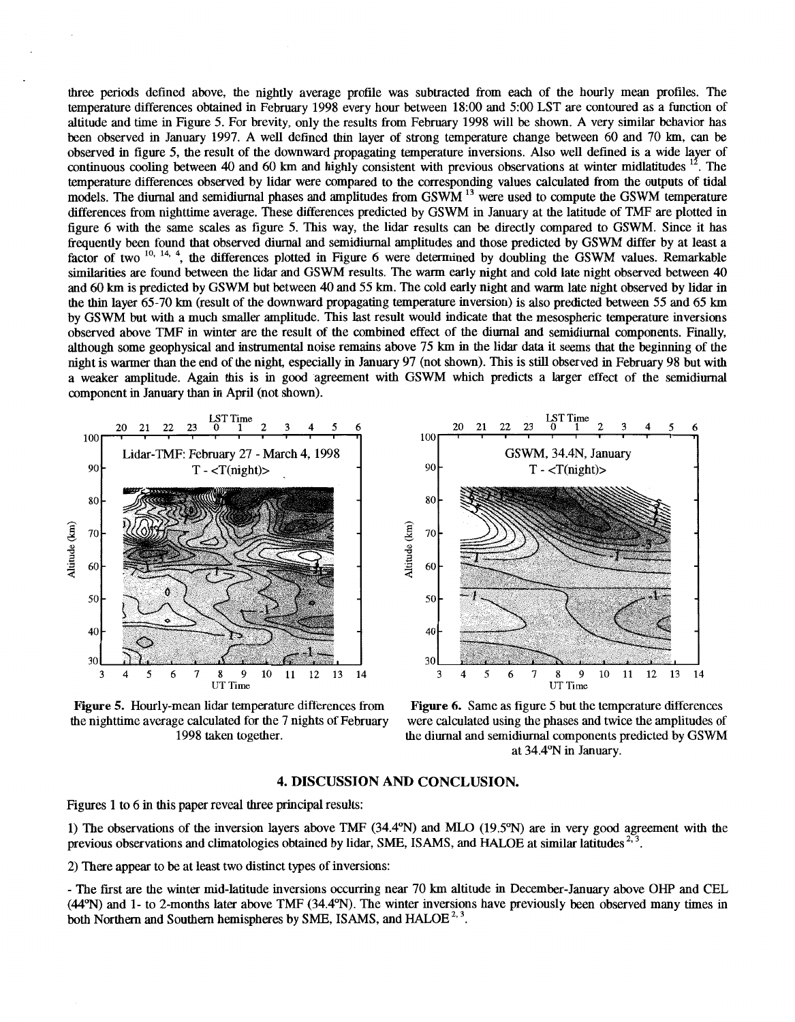three periods defined above, the nightly average profile was subtracted from each of the hourly mean profiles. The temperature differences obtained in February 1998 every hour between 18:OO and *500* LST are contoured as a function of altitude and time in Figure 5. For brevity, only the results from February 1998 will be shown. A very similar behavior has been observed in January 1997. A well defined thin layer of strong temperature change between 60 and 70 km, *can* be observed in figure 5, the result of the downward propagating temperature inversions. Also well defined is a wide layer of continuous cooling between 40 and  $60 \text{ km}$  and highly consistent with previous observations at winter midlatitudes  $^{12}$ . The temperature differences observed by lidar were compared to the corresponding values calculated from the outputs of tidal models. The diurnal and semidiurnal phases and amplitudes from GSWM <sup>13</sup> were used to compute the GSWM temperature differences from nighttime average. These differences predicted by GSWM in January at the latitude of TMF are plotted in figure 6 with the same scales as figure 5. This way, the lidar results *can* be directly compared to GSWM. Since it has frequently been found that observed diurnal and semidiurnal amplitudes and those predicted by GSWM differ by at least a factor of two <sup>10, 14, 4</sup>, the differences plotted in Figure 6 were determined by doubling the GSWM values. Remarkable similarities are found between the lidar and GSWM results. The warm early night and cold late night observed between 40 and *60* km is predicted by GSWM but between 40 and 55 km. The cold early night and warm late night observed by lidar in the thin layer 65-70 km (result of the downward propagating temperature inversion) is also predicted between 55 and 65 **km**  by GSWM but with **a** much smaller amplitude. This last result would indicate that the mesospheric temperature inversions observed above TMF in winter are the result of the combined effect of the diurnal and semidiurnal components. Finally, although some geophysical and instrumental noise remains above 75 km in the lidar **data** it seems that the beginning of the night is warmer than the end of the night, especially in January 97 (not shown). This istill observed in February 98 but with a weaker amplitude. Again this is in good agreement with GSWM which predicts a larger effect of the semidiurnal component in January than in April (not shown).



**Figure 5.** Hourly-mean lidar temperature differences from the nighttime average calculated for the 7 nights of February 1998 taken together.



**Figure** *6.* Same as figure 5 but the temperature differences were calculated using the phases and twice the amplitudes of the diurnal and semidiurnal components predicted by GSWM at 34.4"N in January.

#### **4. DISCUSSION AND CONCLUSION.**

[Figures 1](#page-1-0) to 6 in this paper reveal three principal results:

1) The observations of the inversion layers above TMF (34.4"N) and MLO (19.5"N) are in very good agreement with the previous observations and climatologies obtained by lidar, SME, ISAMS, and HALOE at similar latitudes <sup>2, 3</sup>.

2) There appear to be at least two distinct types of inversions:

- The first are the winter mid-latitude inversions occurring near 70 km altitude in December-January above *OHP* and CEL **(44"N)** and 1- to 2-months later above TMF (34.4%). The winter inversions have previously been observed many times in both Northern and Southern hemispheres by SME, ISAMS, and HALOE<sup>2, 3</sup>.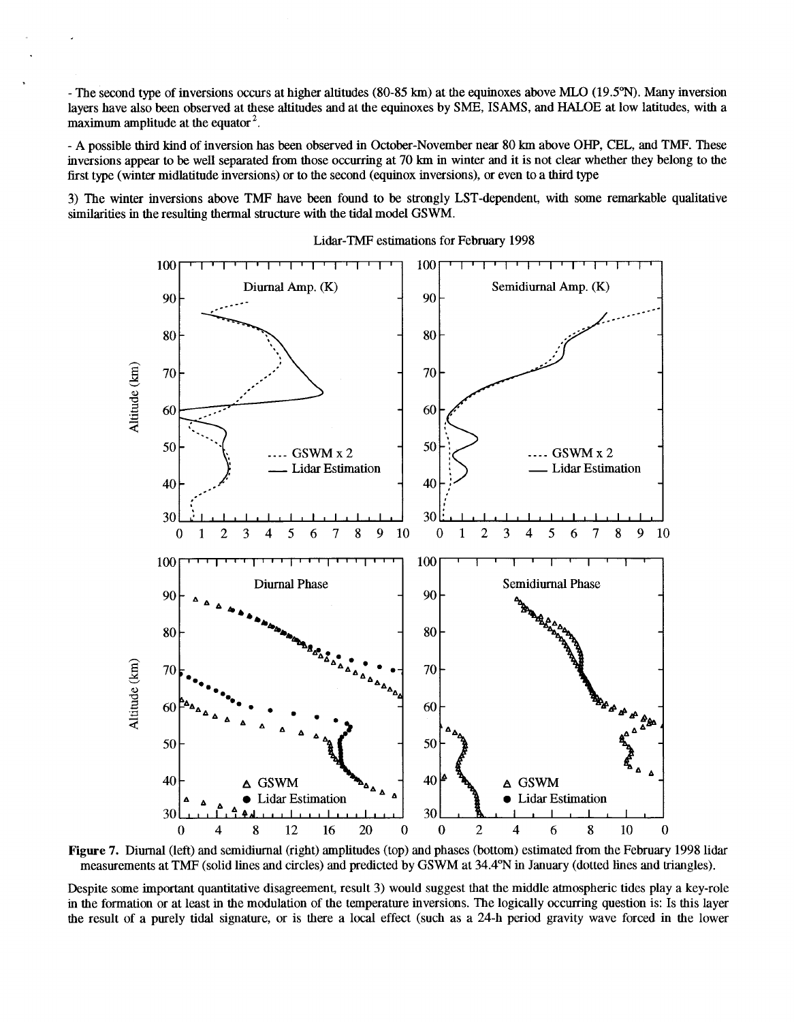- The second type **of** inversions occurs at higher altitudes (80-85 **km)** at the equinoxes above MLO (19.5"N). Many inversion layers have also been observed at these altitudes and at the equinoxes by SME, ISAMS, and HALOE at low latitudes, with a maximum amplitude at the equator  $2$ .

- **A** possible third kind of inversion has been observed in October-November near 80 **km** above *OHP,* CEL, and TMF. These inversions appear to be well separated from those occurring at 70 **km** in winter and it is not clear whether they belong to the first type (winter midlatitude inversions) or to the second (equinox inversions), *or* even to a third type

**3)** The winter inversions above TMF have been found to be strongly LST-dependent, with some remarkable qualitative similarities in the resulting thermal structure with the tidal model GSWM.



Lidar-TMF estimations for February 1998

**Figure 7.** Diurnal (left) and semidiumal (right) amplitudes (top) and phases (bottom) estimated from the February 1998 lidar measurements at TMF (solid lines and circles) and predicted by **GSWM** at 34.4"N in January (dotted lines and triangles).

Despite some important quantitative disagreement, result **3)** would suggest that the middle atmospheric tides play a key-role in the formation or at least in the modulation of the temperature inversions. The logically occurring question is: Is this layer the result of a purely tidal signature, or is there a local effect (such as a 24-h period gravity wave forced in the lower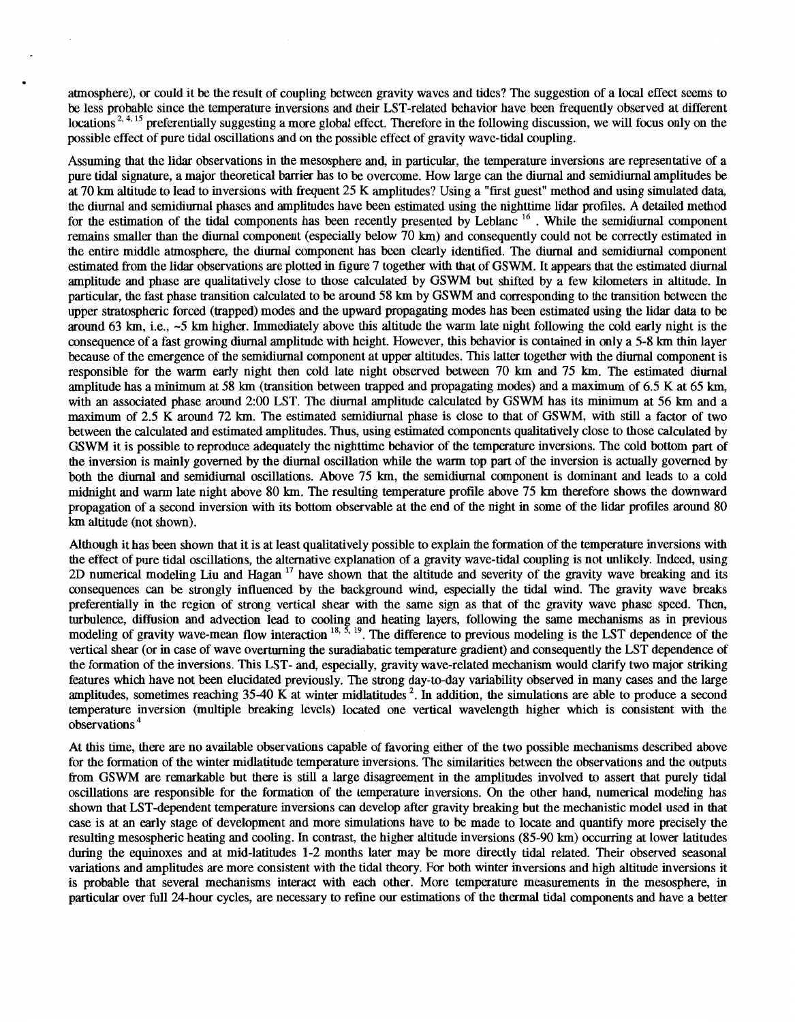atmosphere), *or* could it be the result of coupling between gravity waves and tides? The suggestion of a local effect seems to be less probable since the temperature inversions and their LST-related behavior have been frequently observed at different locations<sup>2, 4, 15</sup> preferentially suggesting a more global effect. Therefore in the following discussion, we will focus only on the possible effect of pure tidal oscillations and on the possible effect of gravity wave-tidal coupling.

Assuming that the lidar observations in the mesosphere and, in particular, the temperature inversions are representative of a pure tidal signature, a major theoretical barrier has to be overcome. How large *can* the diurnal and semidiurnal amplitudes be at 70 km altitude to lead to inversions with frequent 25 K amplitudes? Using a "first guest" method and using simulated data, the diurnal and semidiurnal phases and amplitudes have been estimated using the nighttime lidar profiles. A detailed method for the estimation of the tidal components has been recently presented by Leblanc **l6** . While the semidiurnal component remains smaller than the diurnal component (especially below 70 km) and consequently could not be correctly estimated in the entire middle atmosphere, the diurnal component has been clearly identified. The diurnal and semidiurnal component estimated from the lidar observations are plotted in figure 7 together with that of GSWM. It appears that the estimated diurnal amplitude and phase are qualitatively close to those calculated by **GSWM** but shifted by a few kilometers in altitude. In particular, the fast phase transition calculated to be around 58 km by GSWM and corresponding to the transition between the upper stratospheric forced (trapped) modes and the upward propagating modes has been estimated using the lidar data to be around **63** km, i.e., -5 km higher. Immediately above this altitude the warm late **night** following the cold early night is the consequence of a fast growing diurnal amplitude with height. However, this behavior is contained in only a 5-8 km thin layer because of the emergence of the semidiurnal component at upper altitudes. This latter together with the diurnal component is responsible for the warm early night then cold late night observed between 70 km and 75 km. The estimated diurnal amplitude has a minimum at 58 km (transition between trapped and propagating modes) and a maximum of 6.5 K at 65 km, with an associated phase around 2:00 LST. The diurnal amplitude calculated by GSWM has its minimum at 56 km and a maximum of 2.5 K around 72 km. The estimated semidiurnal phase is close to that of GSWM, with still a factor of two between the calculated and estimated amplitudes. Thus, using estimated components qualitatively close to those calculated by GSWM it is possible to reproduce adequately the nighttime behavior of the temperature inversions. The cold bottom part of the inversion is mainly governed by the diurnal oscillation while the warm top part of the inversion is actually governed by both the diurnal and semidiurnal oscillations. Above 75 km, the semidiurnal component is dominant and leads to a cold midnight and warm late night above **80** km. The resulting temperature profile above 75 km therefore **shows** the downward propagation of a second inversion with its bottom observable at the end of the night in some of the lidar profiles around **80**  km altitude (not shown).

Although it has been shown that it is at least qualitatively possible to explain the formation of the temperature inversions with the effect of pure tidal oscillations, the alternative explanation of a gravity wave-tidal coupling is not unlikely. Indeed, using 2D numerical modeling Liu and Hagan<sup>17</sup> have shown that the altitude and severity of the gravity wave breaking and its consequences *can* be strongly influenced by the background wind, especially the tidal wind. The gravity wave breaks preferentially in the region of strong vertical shear with the same sign as that of the gravity wave phase speed. Then, turbulence, diffusion and advection lead to cooling and heating layers, following the same mechanism modeling of gravity wave-mean flow interaction '\*\* **19.** The difference to previous modeling is the LST dependence of the vertical shear (or in case of wave overturning the suradiabatic temperature gradient) and consequently the LST dependence of the formation of the inversions. This LST- and, especially, gravity wave-related mechanism would clarify two major striking features which have not been elucidated previously. The strong day-to-day variability observed in many cases and the large amplitudes, sometimes reaching **3540** K at winter midlatitudes '. In addition, the simulations are able to produce a second temperature inversion (multiple breaking levels) located one vertical wavelength higher which is consistent with the observations

At this time, there are no available observations capable of favoring either of the two possible mechanisms described above for the formation of the winter midlatitude temperature inversions. The similarities between the observations and the outputs from GSWM are remarkable but there is still a large disagreement in the amplitudes involved to assert that purely tidal oscillations are responsible for the formation of the temperature inversions. *On* the other hand, numerical modeling has shown that LST-dependent temperature inversions *can* develop after gravity breaking but the mechanistic model used in that case is at an early stage of development and more simulations have to be made to locate and quantify more precisely the resulting mesospheric heating and cooling. In contrast, the higher altitude inversions **(85-90** km) occurring at lower latitudes during the equinoxes and at mid-latitudes 1-2 months later may be more directly tidal related. Their observed seasonal variations and amplitudes are more consistent with the tidal theory. For both winter inversions and high altitude inversions it is probable that several mechanisms interact with each other. More temperature measurements in the mesosphere, in particular over full 24-hour cycles, are necessary to refine our estimations of the thermal tidal components and have a better